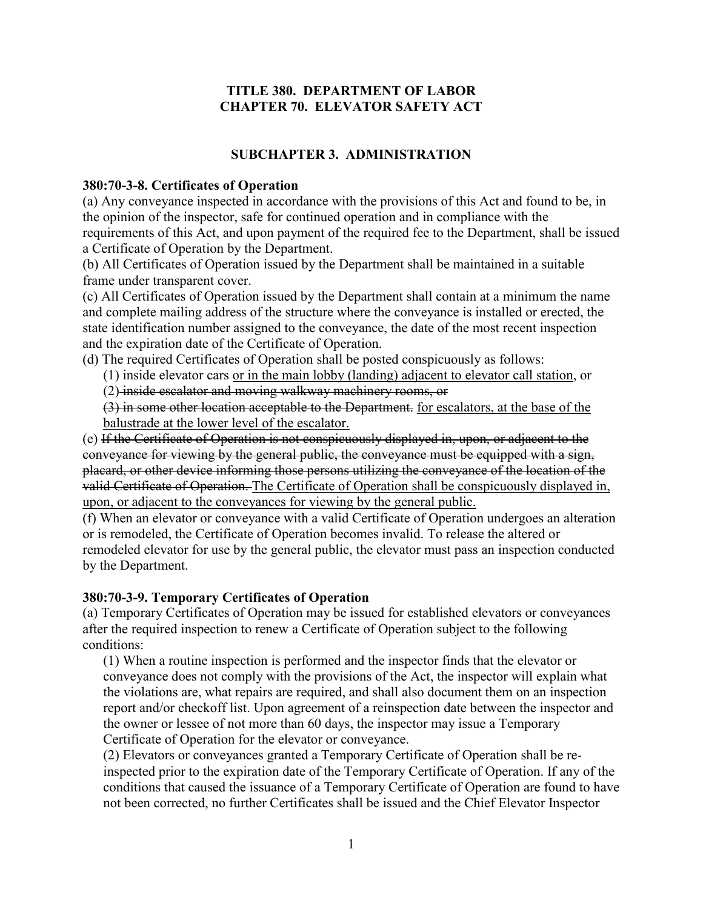## **TITLE 380. DEPARTMENT OF LABOR CHAPTER 70. ELEVATOR SAFETY ACT**

# **SUBCHAPTER 3. ADMINISTRATION**

#### **380:70-3-8. Certificates of Operation**

(a) Any conveyance inspected in accordance with the provisions of this Act and found to be, in the opinion of the inspector, safe for continued operation and in compliance with the requirements of this Act, and upon payment of the required fee to the Department, shall be issued a Certificate of Operation by the Department.

(b) All Certificates of Operation issued by the Department shall be maintained in a suitable frame under transparent cover.

(c) All Certificates of Operation issued by the Department shall contain at a minimum the name and complete mailing address of the structure where the conveyance is installed or erected, the state identification number assigned to the conveyance, the date of the most recent inspection and the expiration date of the Certificate of Operation.

- (d) The required Certificates of Operation shall be posted conspicuously as follows:
	- (1) inside elevator cars or in the main lobby (landing) adjacent to elevator call station, or
	- (2) inside escalator and moving walkway machinery rooms, or

(3) in some other location acceptable to the Department. for escalators, at the base of the balustrade at the lower level of the escalator.

(e) If the Certificate of Operation is not conspicuously displayed in, upon, or adjacent to the conveyance for viewing by the general public, the conveyance must be equipped with a sign, placard, or other device informing those persons utilizing the conveyance of the location of the valid Certificate of Operation. The Certificate of Operation shall be conspicuously displayed in, upon, or adjacent to the conveyances for viewing by the general public.

(f) When an elevator or conveyance with a valid Certificate of Operation undergoes an alteration or is remodeled, the Certificate of Operation becomes invalid. To release the altered or remodeled elevator for use by the general public, the elevator must pass an inspection conducted by the Department.

## **380:70-3-9. Temporary Certificates of Operation**

(a) Temporary Certificates of Operation may be issued for established elevators or conveyances after the required inspection to renew a Certificate of Operation subject to the following conditions:

(1) When a routine inspection is performed and the inspector finds that the elevator or conveyance does not comply with the provisions of the Act, the inspector will explain what the violations are, what repairs are required, and shall also document them on an inspection report and/or checkoff list. Upon agreement of a reinspection date between the inspector and the owner or lessee of not more than 60 days, the inspector may issue a Temporary Certificate of Operation for the elevator or conveyance.

(2) Elevators or conveyances granted a Temporary Certificate of Operation shall be reinspected prior to the expiration date of the Temporary Certificate of Operation. If any of the conditions that caused the issuance of a Temporary Certificate of Operation are found to have not been corrected, no further Certificates shall be issued and the Chief Elevator Inspector